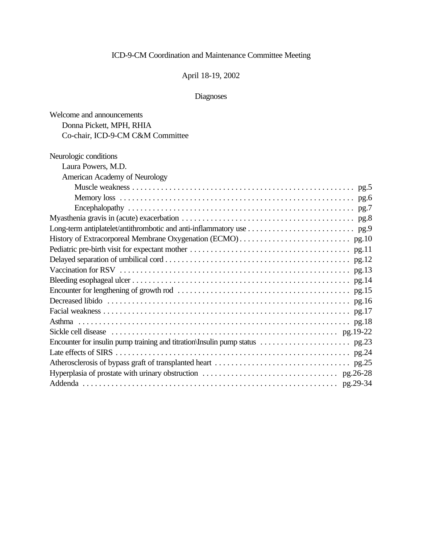## April 18-19, 2002

| Welcome and announcements        |
|----------------------------------|
| Donna Pickett, MPH, RHIA         |
| Co-chair, ICD-9-CM C&M Committee |
| Neurologic conditions            |
| Laura Powers, M.D.               |
| American Academy of Neurology    |
|                                  |
|                                  |
|                                  |
|                                  |
|                                  |
|                                  |
|                                  |
|                                  |
|                                  |
|                                  |
|                                  |
|                                  |
|                                  |
|                                  |
|                                  |
|                                  |
|                                  |
|                                  |
|                                  |
|                                  |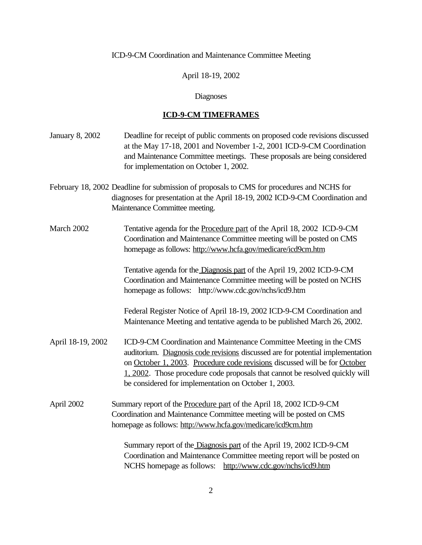April 18-19, 2002

## Diagnoses

# **ICD-9-CM TIMEFRAMES**

| <b>January 8, 2002</b> | Deadline for receipt of public comments on proposed code revisions discussed<br>at the May 17-18, 2001 and November 1-2, 2001 ICD-9-CM Coordination<br>and Maintenance Committee meetings. These proposals are being considered<br>for implementation on October 1, 2002.                                                                                                   |
|------------------------|-----------------------------------------------------------------------------------------------------------------------------------------------------------------------------------------------------------------------------------------------------------------------------------------------------------------------------------------------------------------------------|
|                        | February 18, 2002 Deadline for submission of proposals to CMS for procedures and NCHS for<br>diagnoses for presentation at the April 18-19, 2002 ICD-9-CM Coordination and<br>Maintenance Committee meeting.                                                                                                                                                                |
| March 2002             | Tentative agenda for the Procedure part of the April 18, 2002 ICD-9-CM<br>Coordination and Maintenance Committee meeting will be posted on CMS<br>homepage as follows: http://www.hcfa.gov/medicare/icd9cm.htm                                                                                                                                                              |
|                        | Tentative agenda for the Diagnosis part of the April 19, 2002 ICD-9-CM<br>Coordination and Maintenance Committee meeting will be posted on NCHS<br>homepage as follows: http://www.cdc.gov/nchs/icd9.htm                                                                                                                                                                    |
|                        | Federal Register Notice of April 18-19, 2002 ICD-9-CM Coordination and<br>Maintenance Meeting and tentative agenda to be published March 26, 2002.                                                                                                                                                                                                                          |
| April 18-19, 2002      | ICD-9-CM Coordination and Maintenance Committee Meeting in the CMS<br>auditorium. Diagnosis code revisions discussed are for potential implementation<br>on October 1, 2003. Procedure code revisions discussed will be for October<br>1, 2002. Those procedure code proposals that cannot be resolved quickly will<br>be considered for implementation on October 1, 2003. |
| April 2002             | Summary report of the Procedure part of the April 18, 2002 ICD-9-CM<br>Coordination and Maintenance Committee meeting will be posted on CMS<br>homepage as follows: http://www.hcfa.gov/medicare/icd9cm.htm                                                                                                                                                                 |
|                        | Summary report of the Diagnosis part of the April 19, 2002 ICD-9-CM<br>Coordination and Maintenance Committee meeting report will be posted on<br>NCHS homepage as follows: http://www.cdc.gov/nchs/icd9.htm                                                                                                                                                                |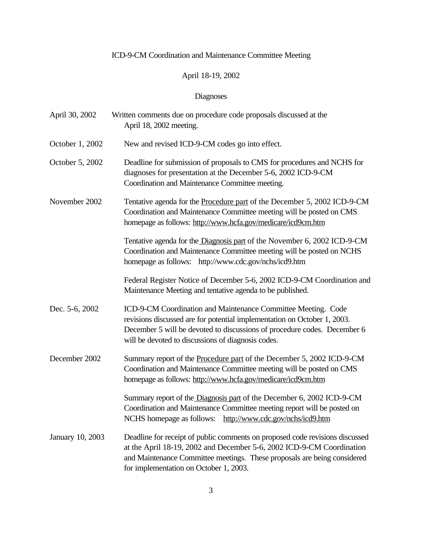## April 18-19, 2002

| April 30, 2002   | Written comments due on procedure code proposals discussed at the<br>April 18, 2002 meeting.                                                                                                                                                                                |
|------------------|-----------------------------------------------------------------------------------------------------------------------------------------------------------------------------------------------------------------------------------------------------------------------------|
| October 1, 2002  | New and revised ICD-9-CM codes go into effect.                                                                                                                                                                                                                              |
| October 5, 2002  | Deadline for submission of proposals to CMS for procedures and NCHS for<br>diagnoses for presentation at the December 5-6, 2002 ICD-9-CM<br>Coordination and Maintenance Committee meeting.                                                                                 |
| November 2002    | Tentative agenda for the Procedure part of the December 5, 2002 ICD-9-CM<br>Coordination and Maintenance Committee meeting will be posted on CMS<br>homepage as follows: http://www.hcfa.gov/medicare/icd9cm.htm                                                            |
|                  | Tentative agenda for the Diagnosis part of the November 6, 2002 ICD-9-CM<br>Coordination and Maintenance Committee meeting will be posted on NCHS<br>homepage as follows: http://www.cdc.gov/nchs/icd9.htm                                                                  |
|                  | Federal Register Notice of December 5-6, 2002 ICD-9-CM Coordination and<br>Maintenance Meeting and tentative agenda to be published.                                                                                                                                        |
| Dec. 5-6, 2002   | ICD-9-CM Coordination and Maintenance Committee Meeting. Code<br>revisions discussed are for potential implementation on October 1, 2003.<br>December 5 will be devoted to discussions of procedure codes. December 6<br>will be devoted to discussions of diagnosis codes. |
| December 2002    | Summary report of the Procedure part of the December 5, 2002 ICD-9-CM<br>Coordination and Maintenance Committee meeting will be posted on CMS<br>homepage as follows: http://www.hcfa.gov/medicare/icd9cm.htm                                                               |
|                  | Summary report of the Diagnosis part of the December 6, 2002 ICD-9-CM<br>Coordination and Maintenance Committee meeting report will be posted on<br>NCHS homepage as follows: http://www.cdc.gov/nchs/icd9.htm                                                              |
| January 10, 2003 | Deadline for receipt of public comments on proposed code revisions discussed<br>at the April 18-19, 2002 and December 5-6, 2002 ICD-9-CM Coordination<br>and Maintenance Committee meetings. These proposals are being considered<br>for implementation on October 1, 2003. |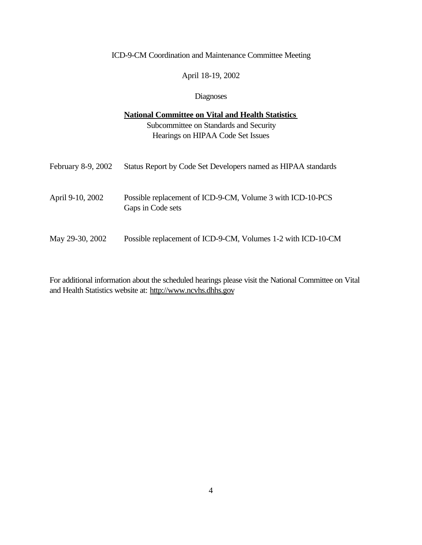April 18-19, 2002

#### Diagnoses

## **National Committee on Vital and Health Statistics**  Subcommittee on Standards and Security Hearings on HIPAA Code Set Issues

| February 8-9, 2002 | Status Report by Code Set Developers named as HIPAA standards                   |
|--------------------|---------------------------------------------------------------------------------|
| April 9-10, 2002   | Possible replacement of ICD-9-CM, Volume 3 with ICD-10-PCS<br>Gaps in Code sets |
| May 29-30, 2002    | Possible replacement of ICD-9-CM, Volumes 1-2 with ICD-10-CM                    |

For additional information about the scheduled hearings please visit the National Committee on Vital and Health Statistics website at: http://www.ncvhs.dhhs.gov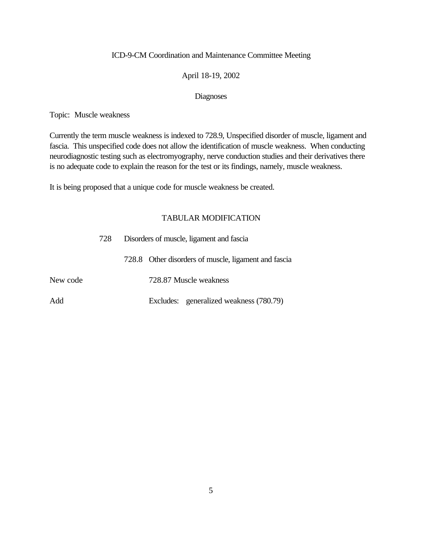#### April 18-19, 2002

#### Diagnoses

Topic: Muscle weakness

Currently the term muscle weakness is indexed to 728.9, Unspecified disorder of muscle, ligament and fascia. This unspecified code does not allow the identification of muscle weakness. When conducting neurodiagnostic testing such as electromyography, nerve conduction studies and their derivatives there is no adequate code to explain the reason for the test or its findings, namely, muscle weakness.

It is being proposed that a unique code for muscle weakness be created.

|          | 728 | Disorders of muscle, ligament and fascia             |  |
|----------|-----|------------------------------------------------------|--|
|          |     | 728.8 Other disorders of muscle, ligament and fascia |  |
| New code |     | 728.87 Muscle weakness                               |  |
| Add      |     | Excludes: generalized weakness (780.79)              |  |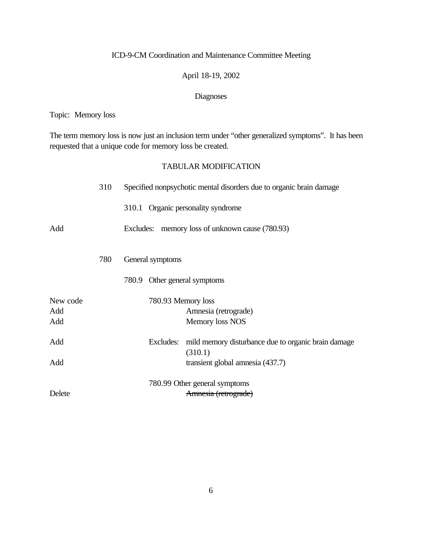### April 18-19, 2002

### Diagnoses

Topic: Memory loss

The term memory loss is now just an inclusion term under "other generalized symptoms". It has been requested that a unique code for memory loss be created.

|                        | 310 | Specified nonpsychotic mental disorders due to organic brain damage         |
|------------------------|-----|-----------------------------------------------------------------------------|
|                        |     | 310.1 Organic personality syndrome                                          |
| Add                    |     | Excludes: memory loss of unknown cause (780.93)                             |
|                        | 780 | General symptoms                                                            |
|                        |     | 780.9 Other general symptoms                                                |
| New code<br>Add<br>Add |     | 780.93 Memory loss<br>Amnesia (retrograde)<br>Memory loss NOS               |
| Add                    |     | mild memory disturbance due to organic brain damage<br>Excludes:<br>(310.1) |
| Add                    |     | transient global amnesia (437.7)                                            |
| Delete                 |     | 780.99 Other general symptoms<br>Amnesia (retrograde)                       |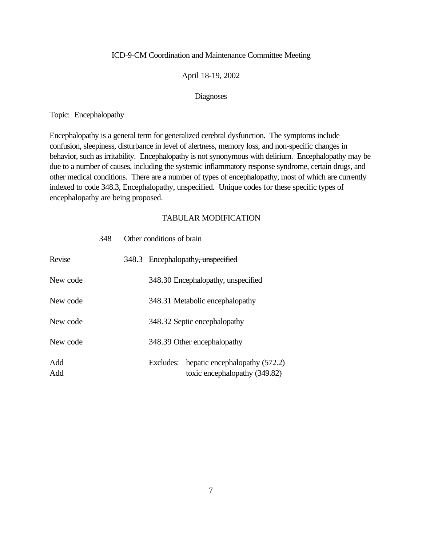#### April 18-19, 2002

#### Diagnoses

Topic: Encephalopathy

Encephalopathy is a general term for generalized cerebral dysfunction. The symptoms include confusion, sleepiness, disturbance in level of alertness, memory loss, and non-specific changes in behavior, such as irritability. Encephalopathy is not synonymous with delirium. Encephalopathy may be due to a number of causes, including the systemic inflammatory response syndrome, certain drugs, and other medical conditions. There are a number of types of encephalopathy, most of which are currently indexed to code 348.3, Encephalopathy, unspecified. Unique codes for these specific types of encephalopathy are being proposed.

#### TABULAR MODIFICATION

| Revise     |  |           | 348.3 Encephalopathy, unspecified                               |
|------------|--|-----------|-----------------------------------------------------------------|
| New code   |  |           | 348.30 Encephalopathy, unspecified                              |
| New code   |  |           | 348.31 Metabolic encephalopathy                                 |
| New code   |  |           | 348.32 Septic encephalopathy                                    |
| New code   |  |           | 348.39 Other encephalopathy                                     |
| Add<br>Add |  | Excludes: | hepatic encephalopathy (572.2)<br>toxic encephalopathy (349.82) |

348 Other conditions of brain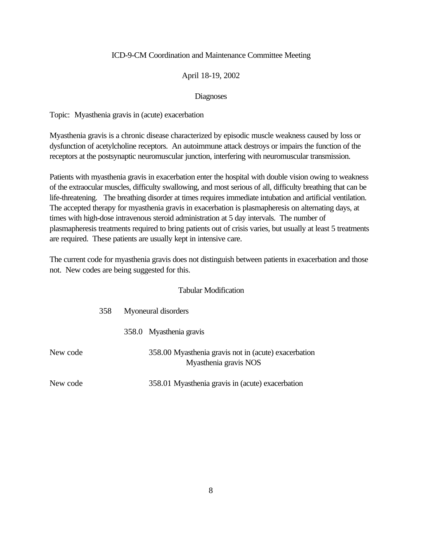#### April 18-19, 2002

#### Diagnoses

Topic: Myasthenia gravis in (acute) exacerbation

Myasthenia gravis is a chronic disease characterized by episodic muscle weakness caused by loss or dysfunction of acetylcholine receptors. An autoimmune attack destroys or impairs the function of the receptors at the postsynaptic neuromuscular junction, interfering with neuromuscular transmission.

Patients with myasthenia gravis in exacerbation enter the hospital with double vision owing to weakness of the extraocular muscles, difficulty swallowing, and most serious of all, difficulty breathing that can be life-threatening. The breathing disorder at times requires immediate intubation and artificial ventilation. The accepted therapy for myasthenia gravis in exacerbation is plasmapheresis on alternating days, at times with high-dose intravenous steroid administration at 5 day intervals. The number of plasmapheresis treatments required to bring patients out of crisis varies, but usually at least 5 treatments are required. These patients are usually kept in intensive care.

The current code for myasthenia gravis does not distinguish between patients in exacerbation and those not. New codes are being suggested for this.

#### Tabular Modification

|          | 358 | Myoneural disorders |                                                                               |
|----------|-----|---------------------|-------------------------------------------------------------------------------|
|          |     |                     | 358.0 Myasthenia gravis                                                       |
| New code |     |                     | 358.00 Myasthenia gravis not in (acute) exacerbation<br>Myasthenia gravis NOS |
| New code |     |                     | 358.01 Myasthenia gravis in (acute) exacerbation                              |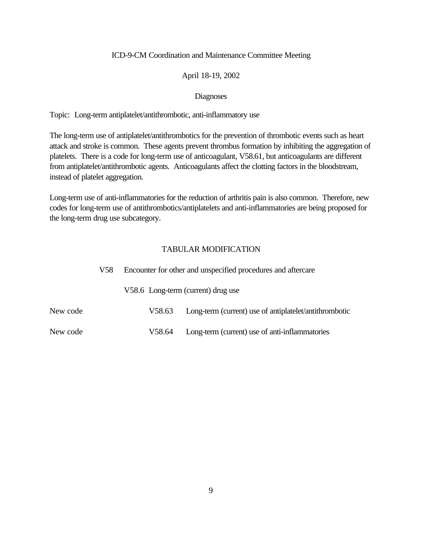#### April 18-19, 2002

#### Diagnoses

Topic: Long-term antiplatelet/antithrombotic, anti-inflammatory use

The long-term use of antiplatelet/antithrombotics for the prevention of thrombotic events such as heart attack and stroke is common. These agents prevent thrombus formation by inhibiting the aggregation of platelets. There is a code for long-term use of anticoagulant, V58.61, but anticoagulants are different from antiplatelet/antithrombotic agents. Anticoagulants affect the clotting factors in the bloodstream, instead of platelet aggregation.

Long-term use of anti-inflammatories for the reduction of arthritis pain is also common. Therefore, new codes for long-term use of antithrombotics/antiplatelets and anti-inflammatories are being proposed for the long-term drug use subcategory.

| V58.     |  | Encounter for other and unspecified procedures and aftercare |                                                        |  |  |
|----------|--|--------------------------------------------------------------|--------------------------------------------------------|--|--|
|          |  |                                                              | V58.6 Long-term (current) drug use                     |  |  |
| New code |  | V58.63                                                       | Long-term (current) use of antiplatelet/antithrombotic |  |  |
| New code |  | V58.64                                                       | Long-term (current) use of anti-inflammatories         |  |  |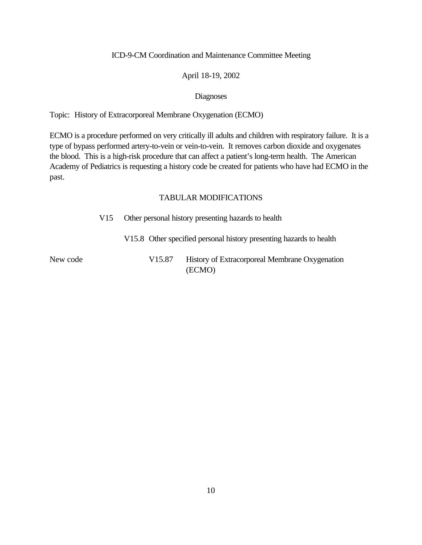#### April 18-19, 2002

#### Diagnoses

Topic: History of Extracorporeal Membrane Oxygenation (ECMO)

ECMO is a procedure performed on very critically ill adults and children with respiratory failure. It is a type of bypass performed artery-to-vein or vein-to-vein. It removes carbon dioxide and oxygenates the blood. This is a high-risk procedure that can affect a patient's long-term health. The American Academy of Pediatrics is requesting a history code be created for patients who have had ECMO in the past.

|          | V <sub>15</sub> |        | Other personal history presenting hazards to health                 |
|----------|-----------------|--------|---------------------------------------------------------------------|
|          |                 |        | V15.8 Other specified personal history presenting hazards to health |
| New code |                 | V15.87 | History of Extracorporeal Membrane Oxygenation<br>(ECMO)            |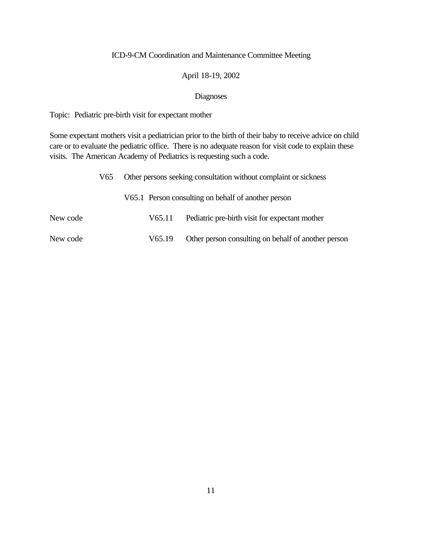#### April 18-19, 2002

#### Diagnoses

Topic: Pediatric pre-birth visit for expectant mother

Some expectant mothers visit a pediatrician prior to the birth of their baby to receive advice on child care or to evaluate the pediatric office. There is no adequate reason for visit code to explain these visits. The American Academy of Pediatrics is requesting such a code.

| V65.     | Other persons seeking consultation without complaint or sickness |        |                                                     |
|----------|------------------------------------------------------------------|--------|-----------------------------------------------------|
|          |                                                                  |        | V65.1 Person consulting on behalf of another person |
| New code |                                                                  | V65.11 | Pediatric pre-birth visit for expectant mother      |
| New code |                                                                  | V65.19 | Other person consulting on behalf of another person |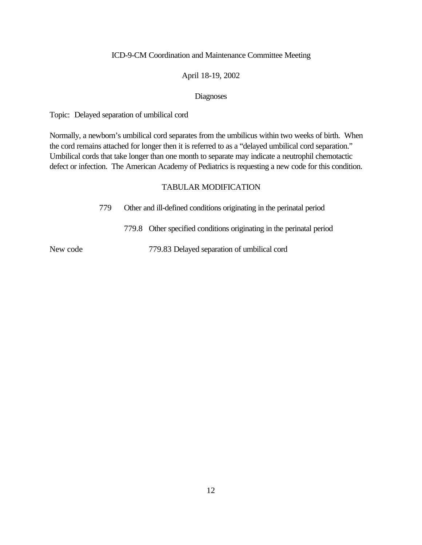#### April 18-19, 2002

#### Diagnoses

Topic: Delayed separation of umbilical cord

Normally, a newborn's umbilical cord separates from the umbilicus within two weeks of birth. When the cord remains attached for longer then it is referred to as a "delayed umbilical cord separation." Umbilical cords that take longer than one month to separate may indicate a neutrophil chemotactic defect or infection. The American Academy of Pediatrics is requesting a new code for this condition.

#### TABULAR MODIFICATION

779 Other and ill-defined conditions originating in the perinatal period

779.8 Other specified conditions originating in the perinatal period

New code 779.83 Delayed separation of umbilical cord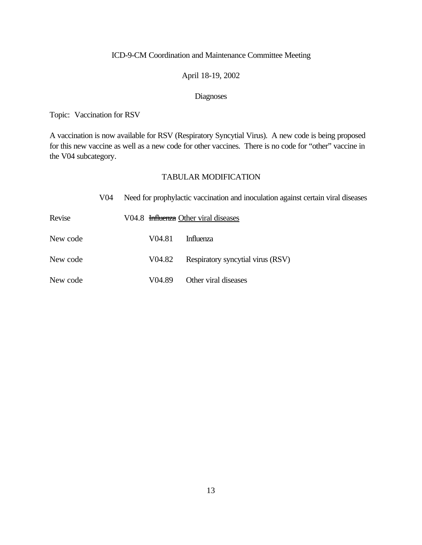#### April 18-19, 2002

### Diagnoses

Topic: Vaccination for RSV

A vaccination is now available for RSV (Respiratory Syncytial Virus). A new code is being proposed for this new vaccine as well as a new code for other vaccines. There is no code for "other" vaccine in the V04 subcategory.

|          | V04 |                    | Need for prophylactic vaccination and inoculation against certain viral diseases |
|----------|-----|--------------------|----------------------------------------------------------------------------------|
| Revise   |     |                    | V04.8 Influenza Other viral diseases                                             |
| New code |     | V04.81             | <b>Influenza</b>                                                                 |
| New code |     | V <sub>04.82</sub> | Respiratory syncytial virus (RSV)                                                |
| New code |     | V04.89             | Other viral diseases                                                             |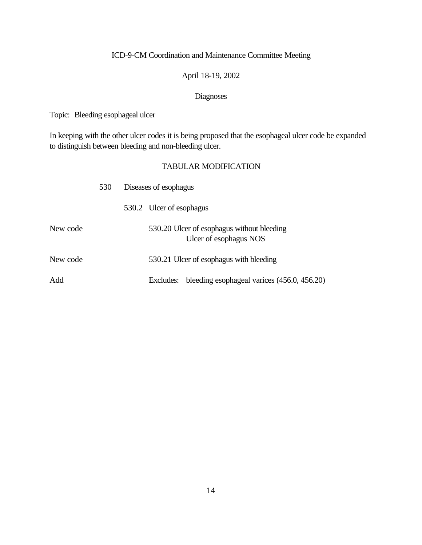### April 18-19, 2002

### Diagnoses

Topic: Bleeding esophageal ulcer

In keeping with the other ulcer codes it is being proposed that the esophageal ulcer code be expanded to distinguish between bleeding and non-bleeding ulcer.

|          | 530 | Diseases of esophagus |                                                                      |  |  |
|----------|-----|-----------------------|----------------------------------------------------------------------|--|--|
|          |     |                       | 530.2 Ulcer of esophagus                                             |  |  |
| New code |     |                       | 530.20 Ulcer of esophagus without bleeding<br>Ulcer of esophagus NOS |  |  |
| New code |     |                       | 530.21 Ulcer of esophagus with bleeding                              |  |  |
| Add      |     |                       | bleeding esophageal varices (456.0, 456.20)<br>Excludes:             |  |  |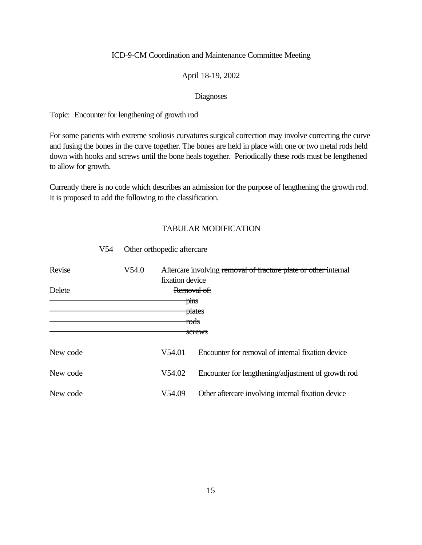#### April 18-19, 2002

#### Diagnoses

Topic: Encounter for lengthening of growth rod

For some patients with extreme scoliosis curvatures surgical correction may involve correcting the curve and fusing the bones in the curve together. The bones are held in place with one or two metal rods held down with hooks and screws until the bone heals together. Periodically these rods must be lengthened to allow for growth.

Currently there is no code which describes an admission for the purpose of lengthening the growth rod. It is proposed to add the following to the classification.

#### TABULAR MODIFICATION

| Revise   | V54.0 | fixation device     | Aftercare involving removal of fracture plate or other internal |  |  |
|----------|-------|---------------------|-----------------------------------------------------------------|--|--|
| Delete   |       | Removal of:<br>pins |                                                                 |  |  |
|          |       |                     | <del>plates</del><br>rods<br>screws                             |  |  |
| New code |       | V54.01              | Encounter for removal of internal fixation device               |  |  |
| New code |       | V54.02              | Encounter for lengthening/adjustment of growth rod              |  |  |
| New code |       | V54.09              | Other aftercare involving internal fixation device              |  |  |

#### V54 Other orthopedic aftercare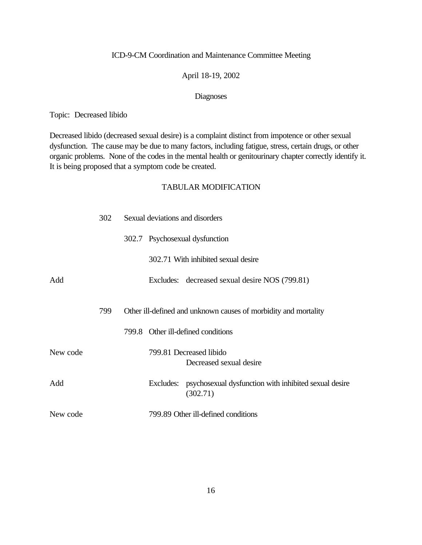#### April 18-19, 2002

#### Diagnoses

Topic: Decreased libido

Decreased libido (decreased sexual desire) is a complaint distinct from impotence or other sexual dysfunction. The cause may be due to many factors, including fatigue, stress, certain drugs, or other organic problems. None of the codes in the mental health or genitourinary chapter correctly identify it. It is being proposed that a symptom code be created.

|          | 302 |  | Sexual deviations and disorders                                             |
|----------|-----|--|-----------------------------------------------------------------------------|
|          |     |  | 302.7 Psychosexual dysfunction                                              |
|          |     |  | 302.71 With inhibited sexual desire                                         |
| Add      |     |  | Excludes: decreased sexual desire NOS (799.81)                              |
|          |     |  |                                                                             |
|          | 799 |  | Other ill-defined and unknown causes of morbidity and mortality             |
|          |     |  | 799.8 Other ill-defined conditions                                          |
| New code |     |  | 799.81 Decreased libido<br>Decreased sexual desire                          |
|          |     |  |                                                                             |
| Add      |     |  | Excludes: psychosexual dysfunction with inhibited sexual desire<br>(302.71) |
| New code |     |  | 799.89 Other ill-defined conditions                                         |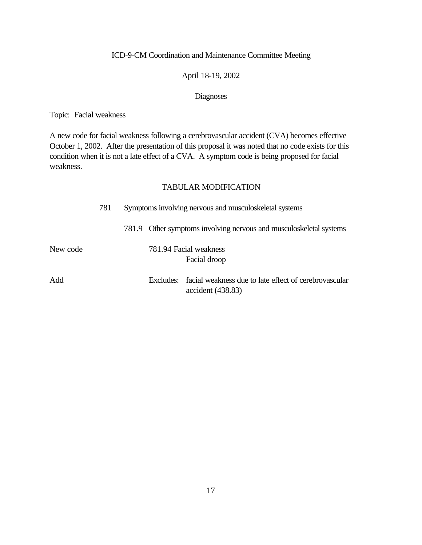#### April 18-19, 2002

#### Diagnoses

Topic: Facial weakness

A new code for facial weakness following a cerebrovascular accident (CVA) becomes effective October 1, 2002. After the presentation of this proposal it was noted that no code exists for this condition when it is not a late effect of a CVA. A symptom code is being proposed for facial weakness.

|          | 781 |  | Symptoms involving nervous and musculoskeletal systems |                                                                                      |
|----------|-----|--|--------------------------------------------------------|--------------------------------------------------------------------------------------|
|          |     |  |                                                        | 781.9 Other symptoms involving nervous and musculoskeletal systems                   |
| New code |     |  |                                                        | 781.94 Facial weakness<br>Facial droop                                               |
| Add      |     |  |                                                        | Excludes: facial weakness due to late effect of cerebrovascular<br>accident (438.83) |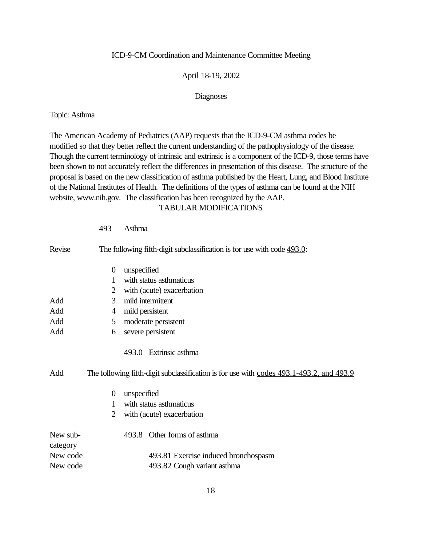#### April 18-19, 2002

#### Diagnoses

#### Topic: Asthma

493 Asthma

The American Academy of Pediatrics (AAP) requests that the ICD-9-CM asthma codes be modified so that they better reflect the current understanding of the pathophysiology of the disease. Though the current terminology of intrinsic and extrinsic is a component of the ICD-9, those terms have been shown to not accurately reflect the differences in presentation of this disease. The structure of the proposal is based on the new classification of asthma published by the Heart, Lung, and Blood Institute of the National Institutes of Health. The definitions of the types of asthma can be found at the NIH website, www.nih.gov. The classification has been recognized by the AAP.

| Revise               |                | The following fifth-digit subclassification is for use with code $493.0$ :               |
|----------------------|----------------|------------------------------------------------------------------------------------------|
|                      | $\theta$       | unspecified                                                                              |
|                      | 1              | with status asthmaticus                                                                  |
|                      | $\overline{2}$ | with (acute) exacerbation                                                                |
| Add                  | 3              | mild intermittent                                                                        |
| Add                  | 4              | mild persistent                                                                          |
| Add                  | 5              | moderate persistent                                                                      |
| Add                  | 6              | severe persistent                                                                        |
|                      |                | 493.0 Extrinsic asthma                                                                   |
| Add                  |                | The following fifth-digit subclassification is for use with codes 493.1-493.2, and 493.9 |
|                      | $\theta$       | unspecified                                                                              |
|                      | 1              | with status asthmaticus                                                                  |
|                      | 2              | with (acute) exacerbation                                                                |
| New sub-<br>category |                | 493.8 Other forms of asthma                                                              |
| New code             |                | 493.81 Exercise induced bronchospasm                                                     |
| New code             |                | 493.82 Cough variant asthma                                                              |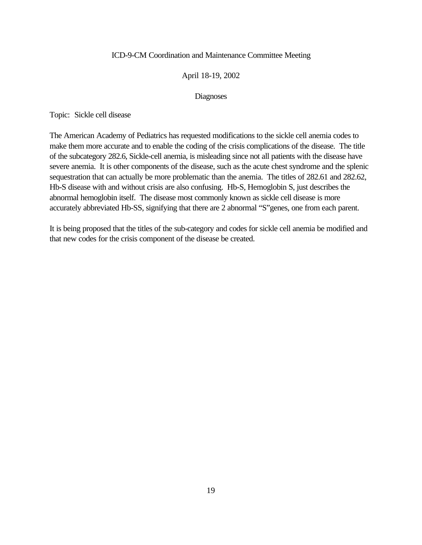#### April 18-19, 2002

#### Diagnoses

Topic: Sickle cell disease

The American Academy of Pediatrics has requested modifications to the sickle cell anemia codes to make them more accurate and to enable the coding of the crisis complications of the disease. The title of the subcategory 282.6, Sickle-cell anemia, is misleading since not all patients with the disease have severe anemia. It is other components of the disease, such as the acute chest syndrome and the splenic sequestration that can actually be more problematic than the anemia. The titles of 282.61 and 282.62, Hb-S disease with and without crisis are also confusing. Hb-S, Hemoglobin S, just describes the abnormal hemoglobin itself. The disease most commonly known as sickle cell disease is more accurately abbreviated Hb-SS, signifying that there are 2 abnormal "S"genes, one from each parent.

It is being proposed that the titles of the sub-category and codes for sickle cell anemia be modified and that new codes for the crisis component of the disease be created.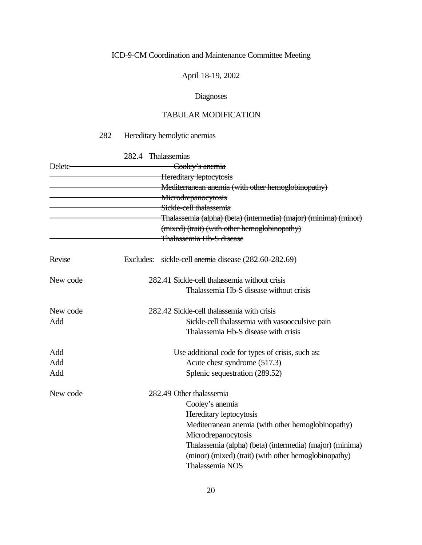April 18-19, 2002

### Diagnoses

## TABULAR MODIFICATION

### 282 Hereditary hemolytic anemias

282.4 Thalassemias

| Delete-  |           | Cooley's anemia                                                  |
|----------|-----------|------------------------------------------------------------------|
|          |           | Hereditary leptocytosis                                          |
|          |           | Mediterranean anemia (with other hemoglobinopathy)               |
|          |           | Microdrepanocytosis                                              |
|          |           | Sickle-cell thalassemia                                          |
|          |           | Thalassemia (alpha) (beta) (intermedia) (major) (minima) (minor) |
|          |           | (mixed) (trait) (with other hemoglobinopathy)                    |
|          |           | Thalassemia Hb-S disease                                         |
| Revise   | Excludes: | sickle-cell anemia disease (282.60-282.69)                       |
| New code |           | 282.41 Sickle-cell thalassemia without crisis                    |
|          |           | Thalassemia Hb-S disease without crisis                          |
| New code |           | 282.42 Sickle-cell thalassemia with crisis                       |
| Add      |           | Sickle-cell thalassemia with vasoocculsive pain                  |
|          |           | Thalassemia Hb-S disease with crisis                             |
| Add      |           | Use additional code for types of crisis, such as:                |
| Add      |           | Acute chest syndrome (517.3)                                     |
| Add      |           | Splenic sequestration (289.52)                                   |
| New code |           | 282.49 Other thalassemia                                         |
|          |           | Cooley's anemia                                                  |
|          |           | Hereditary leptocytosis                                          |
|          |           | Mediterranean anemia (with other hemoglobinopathy)               |
|          |           | Microdrepanocytosis                                              |
|          |           | Thalassemia (alpha) (beta) (intermedia) (major) (minima)         |
|          |           | (minor) (mixed) (trait) (with other hemoglobinopathy)            |
|          |           | Thalassemia NOS                                                  |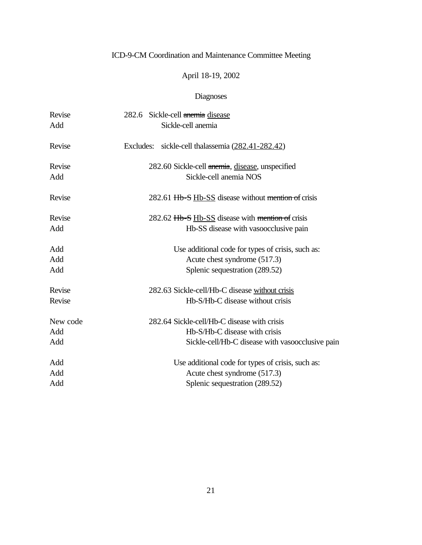## April 18-19, 2002

| Revise   | 282.6 Sickle-cell anemia disease                    |
|----------|-----------------------------------------------------|
| Add      | Sickle-cell anemia                                  |
| Revise   | Excludes: sickle-cell thalassemia (282.41-282.42)   |
| Revise   | 282.60 Sickle-cell anemia, disease, unspecified     |
| Add      | Sickle-cell anemia NOS                              |
| Revise   | 282.61 Hb-S Hb-SS disease without mention of crisis |
| Revise   | 282.62 Hb-S Hb-SS disease with mention of crisis    |
| Add      | Hb-SS disease with vasoocclusive pain               |
| Add      | Use additional code for types of crisis, such as:   |
| Add      | Acute chest syndrome (517.3)                        |
| Add      | Splenic sequestration (289.52)                      |
| Revise   | 282.63 Sickle-cell/Hb-C disease without crisis      |
| Revise   | Hb-S/Hb-C disease without crisis                    |
| New code | 282.64 Sickle-cell/Hb-C disease with crisis         |
| Add      | Hb-S/Hb-C disease with crisis                       |
| Add      | Sickle-cell/Hb-C disease with vasoocclusive pain    |
| Add      | Use additional code for types of crisis, such as:   |
| Add      | Acute chest syndrome (517.3)                        |
| Add      | Splenic sequestration (289.52)                      |
|          |                                                     |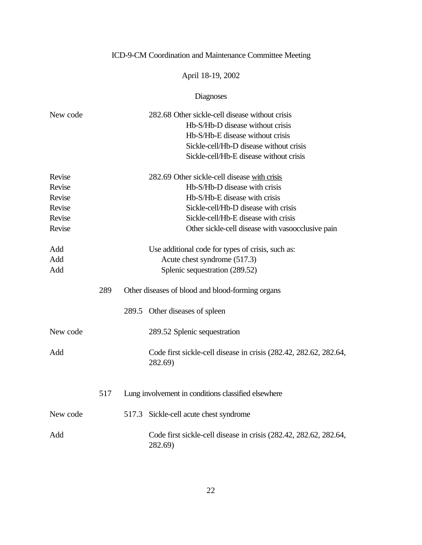## April 18-19, 2002

| New code |     | 282.68 Other sickle-cell disease without crisis                              |
|----------|-----|------------------------------------------------------------------------------|
|          |     | Hb-S/Hb-D disease without crisis                                             |
|          |     | Hb-S/Hb-E disease without crisis                                             |
|          |     | Sickle-cell/Hb-D disease without crisis                                      |
|          |     | Sickle-cell/Hb-E disease without crisis                                      |
| Revise   |     | 282.69 Other sickle-cell disease with crisis                                 |
| Revise   |     | Hb-S/Hb-D disease with crisis                                                |
| Revise   |     | Hb-S/Hb-E disease with crisis                                                |
| Revise   |     | Sickle-cell/Hb-D disease with crisis                                         |
| Revise   |     | Sickle-cell/Hb-E disease with crisis                                         |
| Revise   |     | Other sickle-cell disease with vasoocclusive pain                            |
| Add      |     | Use additional code for types of crisis, such as:                            |
| Add      |     | Acute chest syndrome (517.3)                                                 |
| Add      |     | Splenic sequestration (289.52)                                               |
|          | 289 | Other diseases of blood and blood-forming organs                             |
|          |     | 289.5 Other diseases of spleen                                               |
| New code |     | 289.52 Splenic sequestration                                                 |
| Add      |     | Code first sickle-cell disease in crisis (282.42, 282.62, 282.64,<br>282.69) |
|          | 517 | Lung involvement in conditions classified elsewhere                          |
| New code |     | 517.3 Sickle-cell acute chest syndrome                                       |
| Add      |     | Code first sickle-cell disease in crisis (282.42, 282.62, 282.64,<br>282.69) |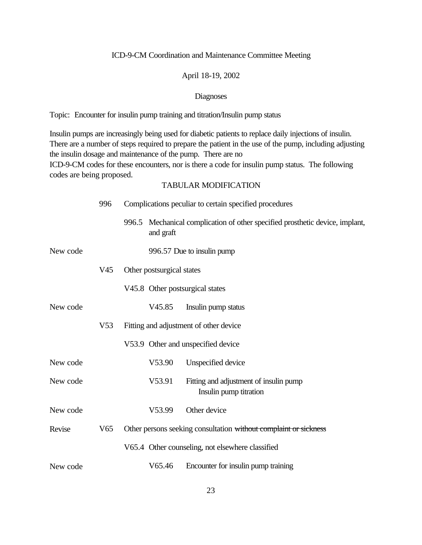#### April 18-19, 2002

#### Diagnoses

Topic: Encounter for insulin pump training and titration/Insulin pump status

Insulin pumps are increasingly being used for diabetic patients to replace daily injections of insulin. There are a number of steps required to prepare the patient in the use of the pump, including adjusting the insulin dosage and maintenance of the pump. There are no ICD-9-CM codes for these encounters, nor is there a code for insulin pump status. The following codes are being proposed.

|          | 996             | Complications peculiar to certain specified procedures |                           |                                                                              |
|----------|-----------------|--------------------------------------------------------|---------------------------|------------------------------------------------------------------------------|
|          |                 |                                                        | and graft                 | 996.5 Mechanical complication of other specified prosthetic device, implant, |
| New code |                 |                                                        |                           | 996.57 Due to insulin pump                                                   |
|          | V <sub>45</sub> |                                                        | Other postsurgical states |                                                                              |
|          |                 |                                                        |                           | V45.8 Other postsurgical states                                              |
| New code |                 |                                                        | V45.85                    | Insulin pump status                                                          |
|          | V <sub>53</sub> |                                                        |                           | Fitting and adjustment of other device                                       |
|          |                 |                                                        |                           | V53.9 Other and unspecified device                                           |
| New code |                 |                                                        | V53.90                    | Unspecified device                                                           |
| New code |                 |                                                        | V53.91                    | Fitting and adjustment of insulin pump<br>Insulin pump titration             |
| New code |                 |                                                        | V53.99                    | Other device                                                                 |
| Revise   | V <sub>65</sub> |                                                        |                           | Other persons seeking consultation without complaint or sickness             |
|          |                 |                                                        |                           | V65.4 Other counseling, not elsewhere classified                             |
| New code |                 |                                                        | V65.46                    | Encounter for insulin pump training                                          |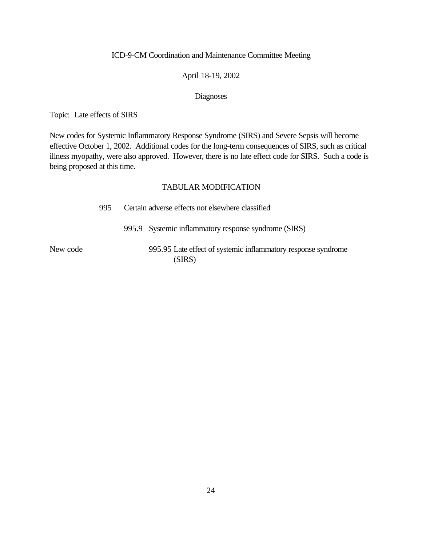#### April 18-19, 2002

#### Diagnoses

Topic: Late effects of SIRS

New codes for Systemic Inflammatory Response Syndrome (SIRS) and Severe Sepsis will become effective October 1, 2002. Additional codes for the long-term consequences of SIRS, such as critical illness myopathy, were also approved. However, there is no late effect code for SIRS. Such a code is being proposed at this time.

|          | 995 | Certain adverse effects not elsewhere classified                        |  |  |
|----------|-----|-------------------------------------------------------------------------|--|--|
|          |     | 995.9 Systemic inflammatory response syndrome (SIRS)                    |  |  |
| New code |     | 995.95 Late effect of systemic inflammatory response syndrome<br>(SIRS) |  |  |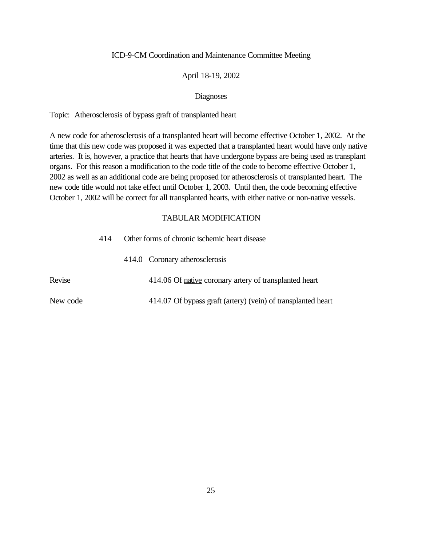#### April 18-19, 2002

#### Diagnoses

Topic: Atherosclerosis of bypass graft of transplanted heart

A new code for atherosclerosis of a transplanted heart will become effective October 1, 2002. At the time that this new code was proposed it was expected that a transplanted heart would have only native arteries. It is, however, a practice that hearts that have undergone bypass are being used as transplant organs. For this reason a modification to the code title of the code to become effective October 1, 2002 as well as an additional code are being proposed for atherosclerosis of transplanted heart. The new code title would not take effect until October 1, 2003. Until then, the code becoming effective October 1, 2002 will be correct for all transplanted hearts, with either native or non-native vessels.

|          | 414 | Other forms of chronic ischemic heart disease |                                                              |  |
|----------|-----|-----------------------------------------------|--------------------------------------------------------------|--|
|          |     |                                               | 414.0 Coronary atherosclerosis                               |  |
| Revise   |     |                                               | 414.06 Of native coronary artery of transplanted heart       |  |
| New code |     |                                               | 414.07 Of bypass graft (artery) (vein) of transplanted heart |  |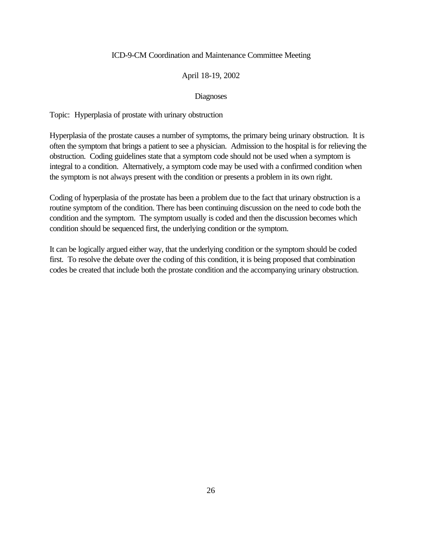#### April 18-19, 2002

#### Diagnoses

Topic: Hyperplasia of prostate with urinary obstruction

Hyperplasia of the prostate causes a number of symptoms, the primary being urinary obstruction. It is often the symptom that brings a patient to see a physician. Admission to the hospital is for relieving the obstruction. Coding guidelines state that a symptom code should not be used when a symptom is integral to a condition. Alternatively, a symptom code may be used with a confirmed condition when the symptom is not always present with the condition or presents a problem in its own right.

Coding of hyperplasia of the prostate has been a problem due to the fact that urinary obstruction is a routine symptom of the condition. There has been continuing discussion on the need to code both the condition and the symptom. The symptom usually is coded and then the discussion becomes which condition should be sequenced first, the underlying condition or the symptom.

It can be logically argued either way, that the underlying condition or the symptom should be coded first. To resolve the debate over the coding of this condition, it is being proposed that combination codes be created that include both the prostate condition and the accompanying urinary obstruction.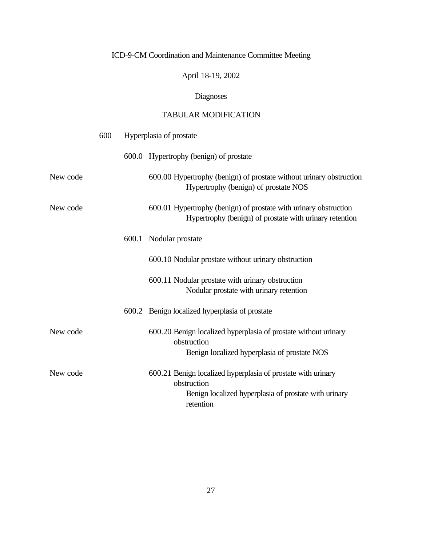April 18-19, 2002

# Diagnoses

|          | 600 | Hyperplasia of prostate                                                                                                                           |  |  |
|----------|-----|---------------------------------------------------------------------------------------------------------------------------------------------------|--|--|
|          |     | 600.0 Hypertrophy (benign) of prostate                                                                                                            |  |  |
| New code |     | 600.00 Hypertrophy (benign) of prostate without urinary obstruction<br>Hypertrophy (benign) of prostate NOS                                       |  |  |
| New code |     | 600.01 Hypertrophy (benign) of prostate with urinary obstruction<br>Hypertrophy (benign) of prostate with urinary retention                       |  |  |
|          |     | 600.1 Nodular prostate                                                                                                                            |  |  |
|          |     | 600.10 Nodular prostate without urinary obstruction                                                                                               |  |  |
|          |     | 600.11 Nodular prostate with urinary obstruction<br>Nodular prostate with urinary retention                                                       |  |  |
|          |     | 600.2 Benign localized hyperplasia of prostate                                                                                                    |  |  |
| New code |     | 600.20 Benign localized hyperplasia of prostate without urinary<br>obstruction<br>Benign localized hyperplasia of prostate NOS                    |  |  |
| New code |     | 600.21 Benign localized hyperplasia of prostate with urinary<br>obstruction<br>Benign localized hyperplasia of prostate with urinary<br>retention |  |  |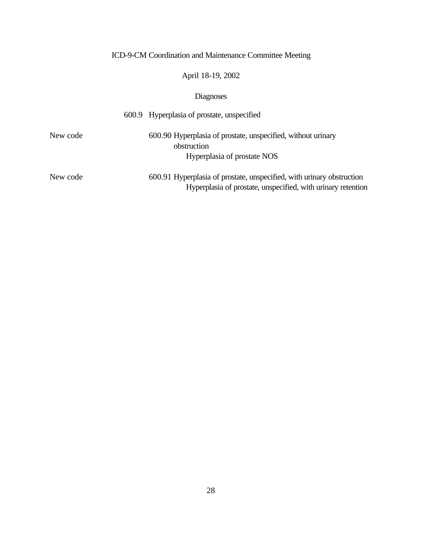## April 18-19, 2002

|          | 600.9 Hyperplasia of prostate, unspecified                                                                                            |
|----------|---------------------------------------------------------------------------------------------------------------------------------------|
| New code | 600.90 Hyperplasia of prostate, unspecified, without urinary<br>obstruction<br>Hyperplasia of prostate NOS                            |
| New code | 600.91 Hyperplasia of prostate, unspecified, with urinary obstruction<br>Hyperplasia of prostate, unspecified, with urinary retention |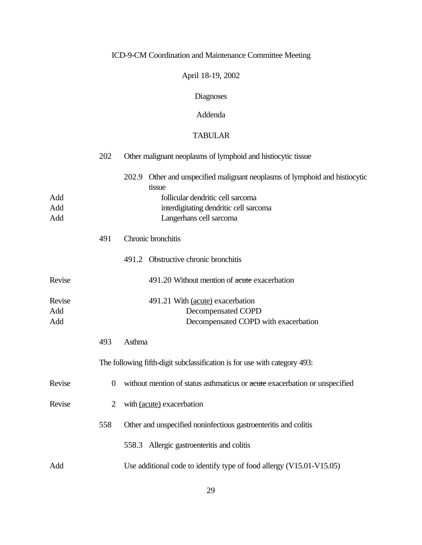## April 18-19, 2002

# Diagnoses

## Addenda

### TABULAR

|                      | 202            | Other malignant neoplasms of lymphoid and histiocytic tissue                                                                                                                                    |  |  |  |  |
|----------------------|----------------|-------------------------------------------------------------------------------------------------------------------------------------------------------------------------------------------------|--|--|--|--|
| Add<br>Add<br>Add    |                | 202.9 Other and unspecified malignant neoplasms of lymphoid and histiocytic<br>tissue<br>follicular dendritic cell sarcoma<br>interdigitating dendritic cell sarcoma<br>Langerhans cell sarcoma |  |  |  |  |
|                      | 491            | Chronic bronchitis                                                                                                                                                                              |  |  |  |  |
|                      |                | 491.2 Obstructive chronic bronchitis                                                                                                                                                            |  |  |  |  |
| Revise               |                | 491.20 Without mention of acute exacerbation                                                                                                                                                    |  |  |  |  |
| Revise<br>Add<br>Add |                | 491.21 With (acute) exacerbation<br><b>Decompensated COPD</b><br>Decompensated COPD with exacerbation                                                                                           |  |  |  |  |
|                      | 493            | Asthma                                                                                                                                                                                          |  |  |  |  |
|                      |                | The following fifth-digit subclassification is for use with category 493:                                                                                                                       |  |  |  |  |
| Revise               | $\overline{0}$ | without mention of status asthmaticus or acute exacerbation or unspecified                                                                                                                      |  |  |  |  |
| Revise               | $\overline{2}$ | with (acute) exacerbation                                                                                                                                                                       |  |  |  |  |
|                      | 558            | Other and unspecified noninfectious gastroenteritis and colitis                                                                                                                                 |  |  |  |  |
|                      |                | 558.3 Allergic gastroenteritis and colitis                                                                                                                                                      |  |  |  |  |
| Add                  |                | Use additional code to identify type of food allergy (V15.01-V15.05)                                                                                                                            |  |  |  |  |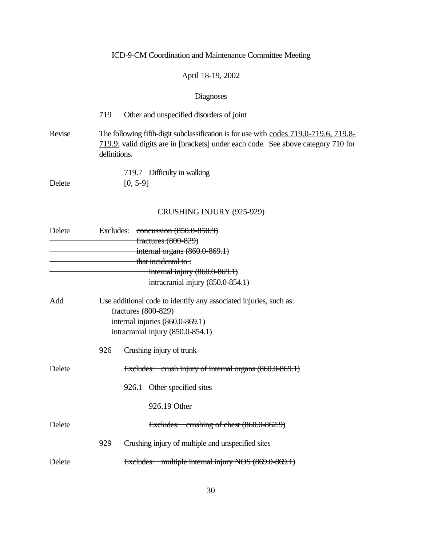## April 18-19, 2002

# Diagnoses

|        | Other and unspecified disorders of joint<br>719                                                                                                                                            |
|--------|--------------------------------------------------------------------------------------------------------------------------------------------------------------------------------------------|
| Revise | The following fifth-digit subclassification is for use with codes 719.0-719.6, 719.8-<br>719.9; valid digits are in [brackets] under each code. See above category 710 for<br>definitions. |
|        | 719.7 Difficulty in walking                                                                                                                                                                |

Delete  $[0, 5-9]$ 

## CRUSHING INJURY (925-929)

| Delete |     | Excludes: concussion $(850.0-850.9)$                                                     |  |  |  |  |
|--------|-----|------------------------------------------------------------------------------------------|--|--|--|--|
|        |     | fractures (800-829)                                                                      |  |  |  |  |
|        |     | internal organs $(860.0 - 869.1)$                                                        |  |  |  |  |
|        |     | that incidental to:                                                                      |  |  |  |  |
|        |     | internal injury $(860.0 - 869.1)$                                                        |  |  |  |  |
|        |     | $\frac{1}{2}$ intracranial injury (850.0-854.1)                                          |  |  |  |  |
| Add    |     | Use additional code to identify any associated injuries, such as:<br>fractures (800-829) |  |  |  |  |
|        |     | internal injuries (860.0-869.1)                                                          |  |  |  |  |
|        |     | intracranial injury (850.0-854.1)                                                        |  |  |  |  |
|        | 926 | Crushing injury of trunk                                                                 |  |  |  |  |
| Delete |     | Excludes: crush injury of internal organs (860.0-869.1)                                  |  |  |  |  |
|        |     | 926.1 Other specified sites                                                              |  |  |  |  |
|        |     | 926.19 Other                                                                             |  |  |  |  |
| Delete |     | Excludes: crushing of chest (860.0-862.9)                                                |  |  |  |  |
|        | 929 | Crushing injury of multiple and unspecified sites                                        |  |  |  |  |
| Delete |     | Excludes: multiple internal injury NOS (869.0-869.1)                                     |  |  |  |  |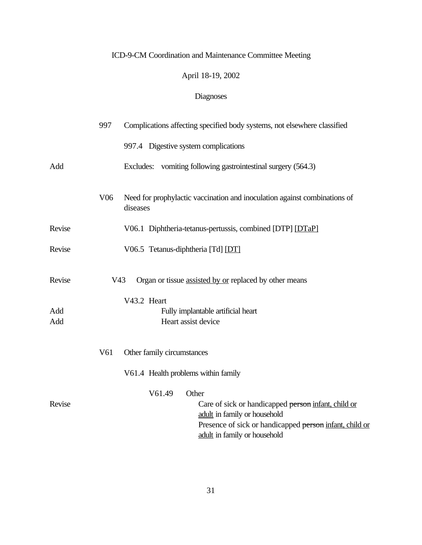## April 18-19, 2002

|            | 997                                 | Complications affecting specified body systems, not elsewhere classified                                                                                                                          |  |  |  |  |
|------------|-------------------------------------|---------------------------------------------------------------------------------------------------------------------------------------------------------------------------------------------------|--|--|--|--|
|            |                                     | 997.4 Digestive system complications                                                                                                                                                              |  |  |  |  |
| Add        |                                     | Excludes: vomiting following gastrointestinal surgery (564.3)                                                                                                                                     |  |  |  |  |
|            | V <sub>06</sub>                     | Need for prophylactic vaccination and inoculation against combinations of<br>diseases                                                                                                             |  |  |  |  |
| Revise     |                                     | V06.1 Diphtheria-tetanus-pertussis, combined [DTP] [DTaP]                                                                                                                                         |  |  |  |  |
| Revise     |                                     | V06.5 Tetanus-diphtheria [Td] [DT]                                                                                                                                                                |  |  |  |  |
| Revise     | V <sub>43</sub>                     | Organ or tissue assisted by or replaced by other means                                                                                                                                            |  |  |  |  |
| Add<br>Add |                                     | V43.2 Heart<br>Fully implantable artificial heart<br>Heart assist device                                                                                                                          |  |  |  |  |
|            | V61                                 | Other family circumstances                                                                                                                                                                        |  |  |  |  |
|            | V61.4 Health problems within family |                                                                                                                                                                                                   |  |  |  |  |
| Revise     |                                     | V61.49<br>Other<br>Care of sick or handicapped person infant, child or<br>adult in family or household<br>Presence of sick or handicapped person infant, child or<br>adult in family or household |  |  |  |  |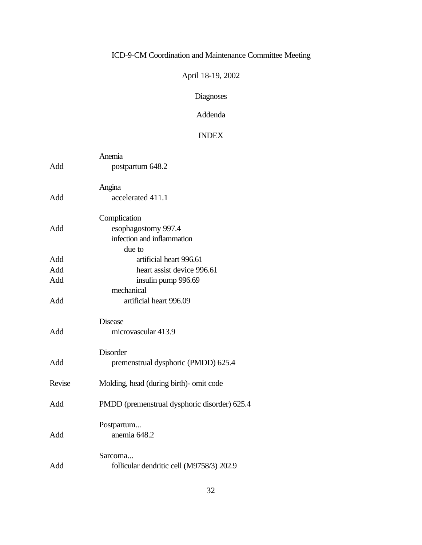## April 18-19, 2002

# Diagnoses

## Addenda

### INDEX

|        | Anemia                                       |  |  |  |
|--------|----------------------------------------------|--|--|--|
| Add    | postpartum 648.2                             |  |  |  |
|        | Angina                                       |  |  |  |
| Add    | accelerated 411.1                            |  |  |  |
|        | Complication                                 |  |  |  |
| Add    | esophagostomy 997.4                          |  |  |  |
|        | infection and inflammation                   |  |  |  |
|        | due to                                       |  |  |  |
| Add    | artificial heart 996.61                      |  |  |  |
| Add    | heart assist device 996.61                   |  |  |  |
| Add    | insulin pump 996.69                          |  |  |  |
|        | mechanical                                   |  |  |  |
| Add    | artificial heart 996.09                      |  |  |  |
|        | <b>Disease</b>                               |  |  |  |
| Add    | microvascular 413.9                          |  |  |  |
|        | Disorder                                     |  |  |  |
| Add    | premenstrual dysphoric (PMDD) 625.4          |  |  |  |
| Revise | Molding, head (during birth)- omit code      |  |  |  |
| Add    | PMDD (premenstrual dysphoric disorder) 625.4 |  |  |  |
|        | Postpartum                                   |  |  |  |
| Add    | anemia 648.2                                 |  |  |  |
|        | Sarcoma                                      |  |  |  |
| Add    | follicular dendritic cell (M9758/3) 202.9    |  |  |  |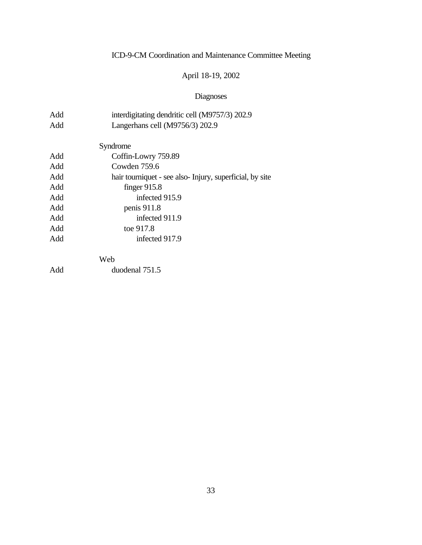## April 18-19, 2002

| Add | interdigitating dendritic cell (M9757/3) 202.9          |  |  |  |  |
|-----|---------------------------------------------------------|--|--|--|--|
| Add | Langerhans cell (M9756/3) 202.9                         |  |  |  |  |
|     |                                                         |  |  |  |  |
|     | Syndrome                                                |  |  |  |  |
| Add | Coffin-Lowry 759.89                                     |  |  |  |  |
| Add | Cowden 759.6                                            |  |  |  |  |
| Add | hair tourniquet - see also-Injury, superficial, by site |  |  |  |  |
| Add | finger $915.8$                                          |  |  |  |  |
| Add | infected 915.9                                          |  |  |  |  |
| Add | penis 911.8                                             |  |  |  |  |
| Add | infected 911.9                                          |  |  |  |  |
| Add | toe 917.8                                               |  |  |  |  |
| Add | infected 917.9                                          |  |  |  |  |
|     | Web                                                     |  |  |  |  |
| Add | duodenal 751.5                                          |  |  |  |  |